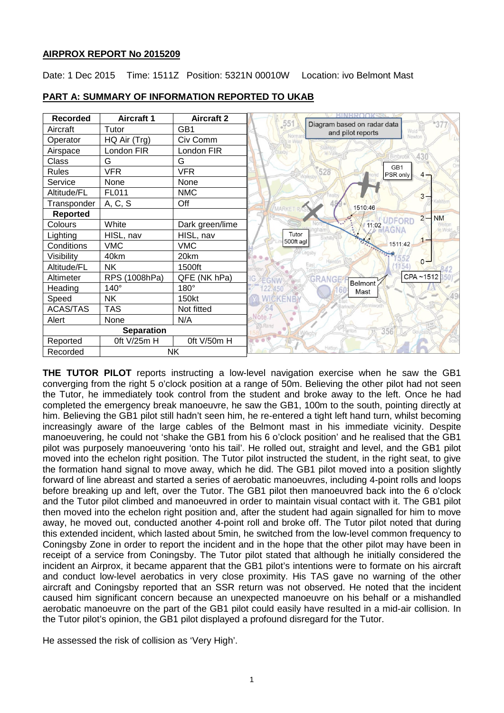## **AIRPROX REPORT No 2015209**

Date: 1 Dec 2015 Time: 1511Z Position: 5321N 00010W Location: ivo Belmont Mast

| <b>Recorded</b>       | <b>Aircraft 1</b>       | <b>Aircraft 2</b> |                                                                 |
|-----------------------|-------------------------|-------------------|-----------------------------------------------------------------|
| Aircraft              | Tutor                   | GB1               | 551<br>Diagram based on radar data<br>Wold<br>and pilot reports |
| Operator              | HQ Air (Trg)            | Civ Comm          | Nórma<br>Newton                                                 |
| Airspace              | London FIR              | London FIR        |                                                                 |
| Class                 | G                       | G                 | 430<br>Οn                                                       |
| <b>Rules</b>          | <b>VFR</b>              | <b>VFR</b>        | GB1<br>528<br>PSR only<br>$4 -$                                 |
| Service               | None                    | None              |                                                                 |
| Altitude/FL           | FL011                   | <b>NMC</b>        | $3 -$                                                           |
| Transponder           | A, C, S                 | Off               | 1510:46<br>MARKE                                                |
| <b>Reported</b>       |                         |                   | <b>NM</b><br>$2 -$                                              |
| Colours               | White                   | Dark green/lime   | 11:02 UDFORD<br><b>WAGNA</b>                                    |
| Lighting              | HISL, nav               | HISL, nav         | Tutor<br>$1 -$                                                  |
| Conditions            | <b>VMC</b>              | <b>VMC</b>        | 500ft agl<br>1511:42                                            |
| Visibility            | 40km                    | 20km              | $0 -$                                                           |
| Altitude/FL           | <b>NK</b>               | 1500ft            |                                                                 |
| Altimeter             | <b>RPS</b><br>(1008hPa) | QFE (NK hPa)      | CPA~1512<br>GRANGE<br>Belmont                                   |
| Heading               | $140^\circ$             | 180°              | 22,450<br>Mast                                                  |
| Speed                 | NΚ                      | 150kt             | WICKEN                                                          |
| <b>ACAS/TAS</b>       | <b>TAS</b>              | Not fitted        |                                                                 |
| Alert                 | None                    | N/A               | Note <sub>-7</sub>                                              |
| <b>Separation</b>     |                         |                   | <b>Ran</b><br>356                                               |
| Reported              | 0ft V/25m H             | Oft V/50m H       |                                                                 |
| <b>NK</b><br>Recorded |                         |                   | Hatton                                                          |

# **PART A: SUMMARY OF INFORMATION REPORTED TO UKAB**

**THE TUTOR PILOT** reports instructing a low-level navigation exercise when he saw the GB1 converging from the right 5 o'clock position at a range of 50m. Believing the other pilot had not seen the Tutor, he immediately took control from the student and broke away to the left. Once he had completed the emergency break manoeuvre, he saw the GB1, 100m to the south, pointing directly at him. Believing the GB1 pilot still hadn't seen him, he re-entered a tight left hand turn, whilst becoming increasingly aware of the large cables of the Belmont mast in his immediate vicinity. Despite manoeuvering, he could not 'shake the GB1 from his 6 o'clock position' and he realised that the GB1 pilot was purposely manoeuvering 'onto his tail'. He rolled out, straight and level, and the GB1 pilot moved into the echelon right position. The Tutor pilot instructed the student, in the right seat, to give the formation hand signal to move away, which he did. The GB1 pilot moved into a position slightly forward of line abreast and started a series of aerobatic manoeuvres, including 4-point rolls and loops before breaking up and left, over the Tutor. The GB1 pilot then manoeuvred back into the 6 o'clock and the Tutor pilot climbed and manoeuvred in order to maintain visual contact with it. The GB1 pilot then moved into the echelon right position and, after the student had again signalled for him to move away, he moved out, conducted another 4-point roll and broke off. The Tutor pilot noted that during this extended incident, which lasted about 5min, he switched from the low-level common frequency to Coningsby Zone in order to report the incident and in the hope that the other pilot may have been in receipt of a service from Coningsby. The Tutor pilot stated that although he initially considered the incident an Airprox, it became apparent that the GB1 pilot's intentions were to formate on his aircraft and conduct low-level aerobatics in very close proximity. His TAS gave no warning of the other aircraft and Coningsby reported that an SSR return was not observed. He noted that the incident caused him significant concern because an unexpected manoeuvre on his behalf or a mishandled aerobatic manoeuvre on the part of the GB1 pilot could easily have resulted in a mid-air collision. In the Tutor pilot's opinion, the GB1 pilot displayed a profound disregard for the Tutor.

He assessed the risk of collision as 'Very High'.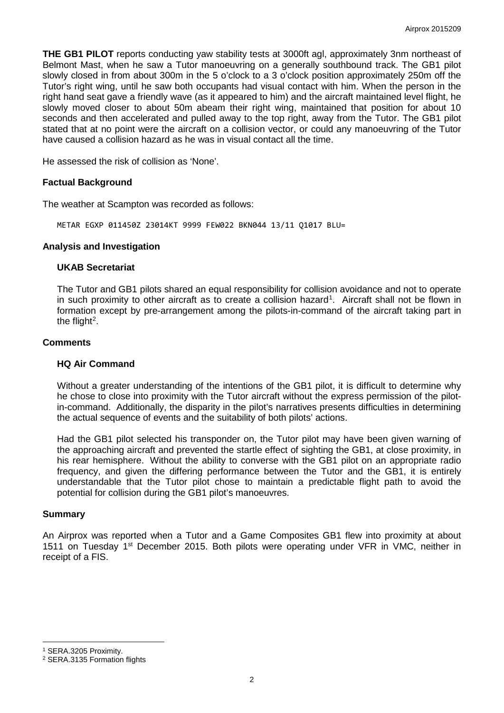**THE GB1 PILOT** reports conducting yaw stability tests at 3000ft agl, approximately 3nm northeast of Belmont Mast, when he saw a Tutor manoeuvring on a generally southbound track. The GB1 pilot slowly closed in from about 300m in the 5 o'clock to a 3 o'clock position approximately 250m off the Tutor's right wing, until he saw both occupants had visual contact with him. When the person in the right hand seat gave a friendly wave (as it appeared to him) and the aircraft maintained level flight, he slowly moved closer to about 50m abeam their right wing, maintained that position for about 10 seconds and then accelerated and pulled away to the top right, away from the Tutor. The GB1 pilot stated that at no point were the aircraft on a collision vector, or could any manoeuvring of the Tutor have caused a collision hazard as he was in visual contact all the time.

He assessed the risk of collision as 'None'.

### **Factual Background**

The weather at Scampton was recorded as follows:

METAR EGXP 011450Z 23014KT 9999 FEW022 BKN044 13/11 Q1017 BLU=

#### **Analysis and Investigation**

### **UKAB Secretariat**

The Tutor and GB1 pilots shared an equal responsibility for collision avoidance and not to operate in such proximity to other aircraft as to create a collision hazard<sup>[1](#page-1-0)</sup>. Aircraft shall not be flown in formation except by pre-arrangement among the pilots-in-command of the aircraft taking part in the flight<sup>[2](#page-1-1)</sup>.

#### **Comments**

## **HQ Air Command**

Without a greater understanding of the intentions of the GB1 pilot, it is difficult to determine why he chose to close into proximity with the Tutor aircraft without the express permission of the pilotin-command. Additionally, the disparity in the pilot's narratives presents difficulties in determining the actual sequence of events and the suitability of both pilots' actions.

Had the GB1 pilot selected his transponder on, the Tutor pilot may have been given warning of the approaching aircraft and prevented the startle effect of sighting the GB1, at close proximity, in his rear hemisphere. Without the ability to converse with the GB1 pilot on an appropriate radio frequency, and given the differing performance between the Tutor and the GB1, it is entirely understandable that the Tutor pilot chose to maintain a predictable flight path to avoid the potential for collision during the GB1 pilot's manoeuvres.

## **Summary**

An Airprox was reported when a Tutor and a Game Composites GB1 flew into proximity at about 1511 on Tuesday 1<sup>st</sup> December 2015. Both pilots were operating under VFR in VMC, neither in receipt of a FIS.

<span id="page-1-0"></span><sup>1</sup> SERA.3205 Proximity.

l

<span id="page-1-1"></span><sup>2</sup> SERA.3135 Formation flights